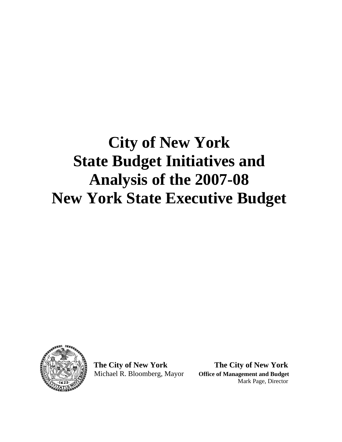## **City of New York State Budget Initiatives and Analysis of the 2007-08 New York State Executive Budget**



 **The City of New York The City of New York**  Michael R. Bloomberg, Mayor **Office of Management and Budget**  Mark Page, Director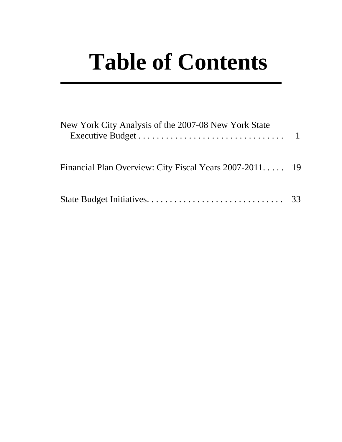# **Table of Contents**

| New York City Analysis of the 2007-08 New York State    |  |
|---------------------------------------------------------|--|
| Financial Plan Overview: City Fiscal Years 2007-2011 19 |  |
|                                                         |  |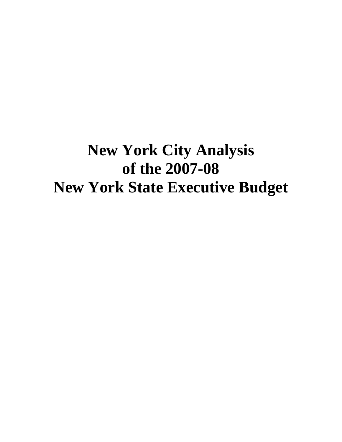## **New York City Analysis of the 2007-08 New York State Executive Budget**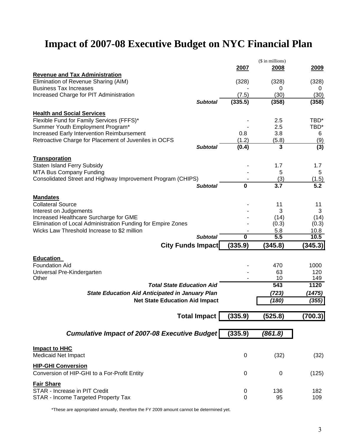## **Impact of 2007-08 Executive Budget on NYC Financial Plan**

|                                                              |                         | (\$ in millions) |                  |
|--------------------------------------------------------------|-------------------------|------------------|------------------|
|                                                              | 2007                    | 2008             | 2009             |
| <b>Revenue and Tax Administration</b>                        |                         |                  |                  |
| Elimination of Revenue Sharing (AIM)                         | (328)                   | (328)            | (328)            |
| <b>Business Tax Increases</b>                                |                         | 0                | 0                |
| Increased Charge for PIT Administration                      | (7.5)                   | (30)             | (30)             |
| <b>Subtotal</b>                                              | (335.5)                 | (358)            | (358)            |
| <b>Health and Social Services</b>                            |                         |                  |                  |
| Flexible Fund for Family Services (FFFS)*                    |                         | 2.5              | TBD*             |
| Summer Youth Employment Program*                             |                         | 2.5              | TBD*             |
| Increased Early Intervention Reimbursement                   | 0.8                     | 3.8              | 6                |
| Retroactive Charge for Placement of Juveniles in OCFS        | (1.2)                   | (5.8)            | (9)              |
| <b>Subtotal</b>                                              | (0.4)                   | 3                | (3)              |
| Transporation                                                |                         |                  |                  |
| <b>Staten Island Ferry Subsidy</b>                           |                         | 1.7              | 1.7              |
| MTA Bus Company Funding                                      |                         | 5                | 5                |
| Consolidated Street and Highway Improvement Program (CHIPS)  |                         | (3)              | (1.5)            |
| <b>Subtotal</b>                                              | $\mathbf 0$             | 3.7              | $5.\overline{2}$ |
|                                                              |                         |                  |                  |
| <b>Mandates</b><br><b>Collateral Source</b>                  |                         |                  |                  |
| Interest on Judgements                                       |                         | 11<br>3          | 11<br>3          |
| Increased Healthcare Surcharge for GME                       |                         | (14)             | (14)             |
| Elimination of Local Administration Funding for Empire Zones |                         | (0.3)            | (0.3)            |
| Wicks Law Threshold Increase to \$2 million                  |                         | 5.8              | 10.8             |
| <b>Subtotal</b>                                              | $\overline{\mathbf{0}}$ | 5.5              | 10.5             |
| <b>City Funds Impact</b>                                     | (335.9)                 | (345.8)          | (345.3)          |
|                                                              |                         |                  |                  |
| <b>Education</b>                                             |                         |                  |                  |
| <b>Foundation Aid</b>                                        |                         | 470              | 1000             |
| Universal Pre-Kindergarten<br>Other                          |                         | 63<br>10         | 120<br>149       |
| <b>Total State Education Aid</b>                             |                         | 543              | 1120             |
|                                                              |                         | (723)            | (1475)           |
| <b>State Education Aid Anticipated in January Plan</b>       |                         |                  |                  |
| <b>Net State Education Aid Impact</b>                        |                         | (180)            | (355)            |
|                                                              |                         |                  |                  |
| <b>Total Impact</b>                                          | (335.9)                 | (525.8)          | (700.3)          |
|                                                              |                         |                  |                  |
| <b>Cumulative Impact of 2007-08 Executive Budget</b>         | (335.9)                 | (861.8)          |                  |
|                                                              |                         |                  |                  |
| <b>Impact to HHC</b>                                         |                         |                  |                  |
| <b>Medicaid Net Impact</b>                                   | $\pmb{0}$               | (32)             | (32)             |
| <b>HIP-GHI Conversion</b>                                    |                         |                  |                  |
| Conversion of HIP-GHI to a For-Profit Entity                 | $\mathbf 0$             | 0                | (125)            |
|                                                              |                         |                  |                  |
| <b>Fair Share</b>                                            |                         |                  |                  |
| STAR - Increase in PIT Credit                                | 0                       | 136              | 182              |
| STAR - Income Targeted Property Tax                          | 0                       | 95               | 109              |

\*These are appropriated annually, therefore the FY 2009 amount cannot be determined yet.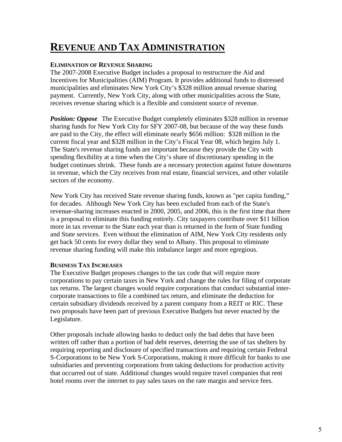## **REVENUE AND TAX ADMINISTRATION**

### **ELIMINATION OF REVENUE SHARING**

The 2007-2008 Executive Budget includes a proposal to restructure the Aid and Incentives for Municipalities (AIM) Program. It provides additional funds to distressed municipalities and eliminates New York City's \$328 million annual revenue sharing payment. Currently, New York City, along with other municipalities across the State, receives revenue sharing which is a flexible and consistent source of revenue.

*Position: Oppose.* The Executive Budget completely eliminates \$328 million in revenue sharing funds for New York City for SFY 2007-08, but because of the way these funds are paid to the City, the effect will eliminate nearly \$656 million: \$328 million in the current fiscal year and \$328 million in the City's Fiscal Year 08, which begins July 1. The State's revenue sharing funds are important because they provide the City with spending flexibility at a time when the City's share of discretionary spending in the budget continues shrink. These funds are a necessary protection against future downturns in revenue, which the City receives from real estate, financial services, and other volatile sectors of the economy.

New York City has received State revenue sharing funds, known as "per capita funding," for decades. Although New York City has been excluded from each of the State's revenue-sharing increases enacted in 2000, 2005, and 2006, this is the first time that there is a proposal to eliminate this funding entirely. City taxpayers contribute over \$11 billion more in tax revenue to the State each year than is returned in the form of State funding and State services. Even without the elimination of AIM, New York City residents only get back 50 cents for every dollar they send to Albany. This proposal to eliminate revenue sharing funding will make this imbalance larger and more egregious.

### **BUSINESS TAX INCREASES**

The Executive Budget proposes changes to the tax code that will require more corporations to pay certain taxes in New York and change the rules for filing of corporate tax returns. The largest changes would require corporations that conduct substantial intercorporate transactions to file a combined tax return, and eliminate the deduction for certain subsidiary dividends received by a parent company from a REIT or RIC. These two proposals have been part of previous Executive Budgets but never enacted by the Legislature.

Other proposals include allowing banks to deduct only the bad debts that have been written off rather than a portion of bad debt reserves, deterring the use of tax shelters by requiring reporting and disclosure of specified transactions and requiring certain Federal S-Corporations to be New York S-Corporations, making it more difficult for banks to use subsidiaries and preventing corporations from taking deductions for production activity that occurred out of state. Additional changes would require travel companies that rent hotel rooms over the internet to pay sales taxes on the rate margin and service fees.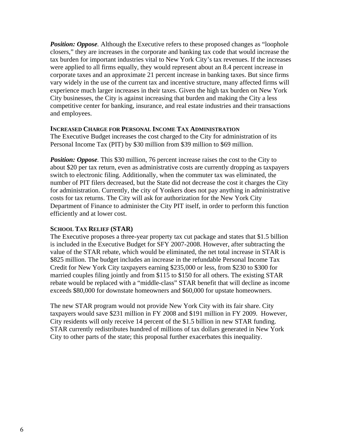*Position: Oppose.* Although the Executive refers to these proposed changes as "loophole" closers," they are increases in the corporate and banking tax code that would increase the tax burden for important industries vital to New York City's tax revenues. If the increases were applied to all firms equally, they would represent about an 8.4 percent increase in corporate taxes and an approximate 21 percent increase in banking taxes. But since firms vary widely in the use of the current tax and incentive structure, many affected firms will experience much larger increases in their taxes. Given the high tax burden on New York City businesses, the City is against increasing that burden and making the City a less competitive center for banking, insurance, and real estate industries and their transactions and employees.

### **INCREASED CHARGE FOR PERSONAL INCOME TAX ADMINISTRATION**

The Executive Budget increases the cost charged to the City for administration of its Personal Income Tax (PIT) by \$30 million from \$39 million to \$69 million.

*Position: Oppose.* This \$30 million, 76 percent increase raises the cost to the City to about \$20 per tax return, even as administrative costs are currently dropping as taxpayers switch to electronic filing. Additionally, when the commuter tax was eliminated, the number of PIT filers decreased, but the State did not decrease the cost it charges the City for administration. Currently, the city of Yonkers does not pay anything in administrative costs for tax returns. The City will ask for authorization for the New York City Department of Finance to administer the City PIT itself, in order to perform this function efficiently and at lower cost.

### **SCHOOL TAX RELIEF (STAR)**

The Executive proposes a three-year property tax cut package and states that \$1.5 billion is included in the Executive Budget for SFY 2007-2008. However, after subtracting the value of the STAR rebate, which would be eliminated, the net total increase in STAR is \$825 million. The budget includes an increase in the refundable Personal Income Tax Credit for New York City taxpayers earning \$235,000 or less, from \$230 to \$300 for married couples filing jointly and from \$115 to \$150 for all others. The existing STAR rebate would be replaced with a "middle-class" STAR benefit that will decline as income exceeds \$80,000 for downstate homeowners and \$60,000 for upstate homeowners.

The new STAR program would not provide New York City with its fair share. City taxpayers would save \$231 million in FY 2008 and \$191 million in FY 2009. However, City residents will only receive 14 percent of the \$1.5 billion in new STAR funding. STAR currently redistributes hundred of millions of tax dollars generated in New York City to other parts of the state; this proposal further exacerbates this inequality.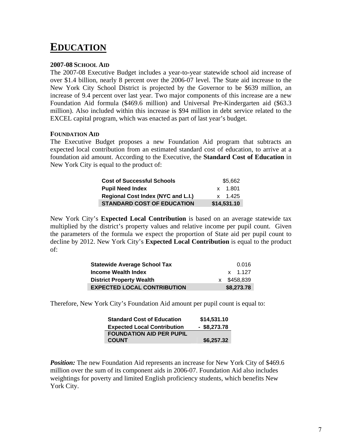### **EDUCATION**

### **2007-08 SCHOOL AID**

The 2007-08 Executive Budget includes a year-to-year statewide school aid increase of over \$1.4 billion, nearly 8 percent over the 2006-07 level. The State aid increase to the New York City School District is projected by the Governor to be \$639 million, an increase of 9.4 percent over last year. Two major components of this increase are a new Foundation Aid formula (\$469.6 million) and Universal Pre-Kindergarten aid (\$63.3 million). Also included within this increase is \$94 million in debt service related to the EXCEL capital program, which was enacted as part of last year's budget.

### **FOUNDATION AID**

The Executive Budget proposes a new Foundation Aid program that subtracts an expected local contribution from an estimated standard cost of education, to arrive at a foundation aid amount. According to the Executive, the **Standard Cost of Education** in New York City is equal to the product of:

| <b>Cost of Successful Schools</b>         | \$5,662     |
|-------------------------------------------|-------------|
| <b>Pupil Need Index</b>                   | x 1.801     |
| <b>Regional Cost Index (NYC and L.I.)</b> | x 1.425     |
| <b>STANDARD COST OF EDUCATION</b>         | \$14,531.10 |

New York City's **Expected Local Contribution** is based on an average statewide tax multiplied by the district's property values and relative income per pupil count. Given the parameters of the formula we expect the proportion of State aid per pupil count to decline by 2012. New York City's **Expected Local Contribution** is equal to the product of:

| <b>Statewide Average School Tax</b> | 0.016       |
|-------------------------------------|-------------|
| Income Wealth Index                 | x 1.127     |
| <b>District Property Wealth</b>     | x \$458,839 |
| <b>EXPECTED LOCAL CONTRIBUTION</b>  | \$8,273.78  |

Therefore, New York City's Foundation Aid amount per pupil count is equal to:

| <b>Standard Cost of Education</b>  | \$14,531.10    |
|------------------------------------|----------------|
| <b>Expected Local Contribution</b> | $-$ \$8,273.78 |
| <b>FOUNDATION AID PER PUPIL</b>    |                |
| <b>COUNT</b>                       | \$6,257.32     |

*Position:* The new Foundation Aid represents an increase for New York City of \$469.6 million over the sum of its component aids in 2006-07. Foundation Aid also includes weightings for poverty and limited English proficiency students, which benefits New York City.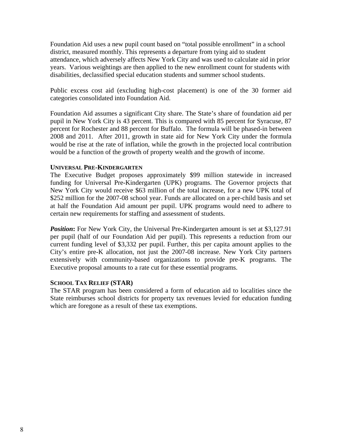Foundation Aid uses a new pupil count based on "total possible enrollment" in a school district, measured monthly. This represents a departure from tying aid to student attendance, which adversely affects New York City and was used to calculate aid in prior years. Various weightings are then applied to the new enrollment count for students with disabilities, declassified special education students and summer school students.

Public excess cost aid (excluding high-cost placement) is one of the 30 former aid categories consolidated into Foundation Aid.

Foundation Aid assumes a significant City share. The State's share of foundation aid per pupil in New York City is 43 percent. This is compared with 85 percent for Syracuse, 87 percent for Rochester and 88 percent for Buffalo. The formula will be phased-in between 2008 and 2011. After 2011, growth in state aid for New York City under the formula would be rise at the rate of inflation, while the growth in the projected local contribution would be a function of the growth of property wealth and the growth of income.

### **UNIVERSAL PRE-KINDERGARTEN**

The Executive Budget proposes approximately \$99 million statewide in increased funding for Universal Pre-Kindergarten (UPK) programs. The Governor projects that New York City would receive \$63 million of the total increase, for a new UPK total of \$252 million for the 2007-08 school year. Funds are allocated on a per-child basis and set at half the Foundation Aid amount per pupil. UPK programs would need to adhere to certain new requirements for staffing and assessment of students.

**Position:** For New York City, the Universal Pre-Kindergarten amount is set at \$3,127.91 per pupil (half of our Foundation Aid per pupil). This represents a reduction from our current funding level of \$3,332 per pupil. Further, this per capita amount applies to the City's entire pre-K allocation, not just the 2007-08 increase. New York City partners extensively with community-based organizations to provide pre-K programs. The Executive proposal amounts to a rate cut for these essential programs.

### **SCHOOL TAX RELIEF (STAR)**

The STAR program has been considered a form of education aid to localities since the State reimburses school districts for property tax revenues levied for education funding which are foregone as a result of these tax exemptions.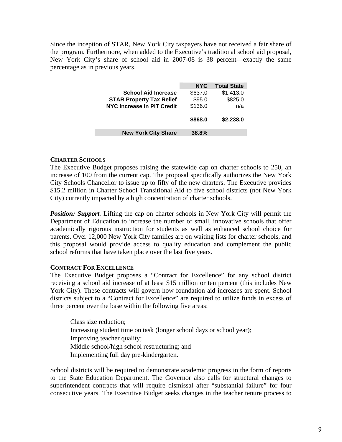Since the inception of STAR, New York City taxpayers have not received a fair share of the program. Furthermore, when added to the Executive's traditional school aid proposal, New York City's share of school aid in 2007-08 is 38 percent—exactly the same percentage as in previous years.

|                                   | <b>NYC</b> | <b>Total State</b> |
|-----------------------------------|------------|--------------------|
| <b>School Aid Increase</b>        | \$637.0    | \$1,413.0          |
| <b>STAR Property Tax Relief</b>   | \$95.0     | \$825.0            |
| <b>NYC Increase in PIT Credit</b> | \$136.0    | n/a                |
|                                   | \$868.0    | \$2,238.0          |
| <b>New York City Share</b>        | 38.8%      |                    |

### **CHARTER SCHOOLS**

The Executive Budget proposes raising the statewide cap on charter schools to 250, an increase of 100 from the current cap. The proposal specifically authorizes the New York City Schools Chancellor to issue up to fifty of the new charters. The Executive provides \$15.2 million in Charter School Transitional Aid to five school districts (not New York City) currently impacted by a high concentration of charter schools.

*Position: Support.* Lifting the cap on charter schools in New York City will permit the Department of Education to increase the number of small, innovative schools that offer academically rigorous instruction for students as well as enhanced school choice for parents. Over 12,000 New York City families are on waiting lists for charter schools, and this proposal would provide access to quality education and complement the public school reforms that have taken place over the last five years.

### **CONTRACT FOR EXCELLENCE**

The Executive Budget proposes a "Contract for Excellence" for any school district receiving a school aid increase of at least \$15 million or ten percent (this includes New York City). These contracts will govern how foundation aid increases are spent. School districts subject to a "Contract for Excellence" are required to utilize funds in excess of three percent over the base within the following five areas:

Class size reduction; Increasing student time on task (longer school days or school year); Improving teacher quality; Middle school/high school restructuring; and Implementing full day pre-kindergarten.

School districts will be required to demonstrate academic progress in the form of reports to the State Education Department. The Governor also calls for structural changes to superintendent contracts that will require dismissal after "substantial failure" for four consecutive years. The Executive Budget seeks changes in the teacher tenure process to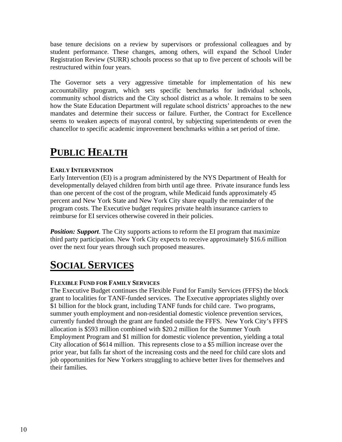base tenure decisions on a review by supervisors or professional colleagues and by student performance. These changes, among others, will expand the School Under Registration Review (SURR) schools process so that up to five percent of schools will be restructured within four years.

The Governor sets a very aggressive timetable for implementation of his new accountability program, which sets specific benchmarks for individual schools, community school districts and the City school district as a whole. It remains to be seen how the State Education Department will regulate school districts' approaches to the new mandates and determine their success or failure. Further, the Contract for Excellence seems to weaken aspects of mayoral control, by subjecting superintendents or even the chancellor to specific academic improvement benchmarks within a set period of time.

## **PUBLIC HEALTH**

### **EARLY INTERVENTION**

Early Intervention (EI) is a program administered by the NYS Department of Health for developmentally delayed children from birth until age three. Private insurance funds less than one percent of the cost of the program, while Medicaid funds approximately 45 percent and New York State and New York City share equally the remainder of the program costs. The Executive budget requires private health insurance carriers to reimburse for EI services otherwise covered in their policies.

**Position: Support.** The City supports actions to reform the EI program that maximize third party participation. New York City expects to receive approximately \$16.6 million over the next four years through such proposed measures.

## **SOCIAL SERVICES**

### **FLEXIBLE FUND FOR FAMILY SERVICES**

The Executive Budget continues the Flexible Fund for Family Services (FFFS) the block grant to localities for TANF-funded services. The Executive appropriates slightly over \$1 billion for the block grant, including TANF funds for child care. Two programs, summer youth employment and non-residential domestic violence prevention services, currently funded through the grant are funded outside the FFFS. New York City's FFFS allocation is \$593 million combined with \$20.2 million for the Summer Youth Employment Program and \$1 million for domestic violence prevention, yielding a total City allocation of \$614 million. This represents close to a \$5 million increase over the prior year, but falls far short of the increasing costs and the need for child care slots and job opportunities for New Yorkers struggling to achieve better lives for themselves and their families.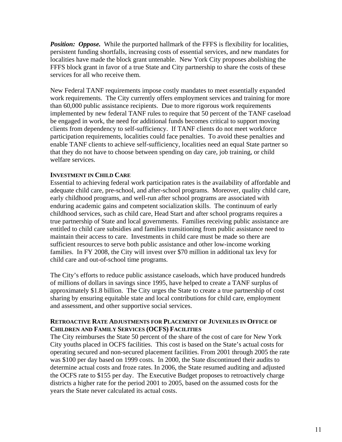**Position: Oppose.** While the purported hallmark of the FFFS is flexibility for localities, persistent funding shortfalls, increasing costs of essential services, and new mandates for localities have made the block grant untenable. New York City proposes abolishing the FFFS block grant in favor of a true State and City partnership to share the costs of these services for all who receive them.

New Federal TANF requirements impose costly mandates to meet essentially expanded work requirements. The City currently offers employment services and training for more than 60,000 public assistance recipients. Due to more rigorous work requirements implemented by new federal TANF rules to require that 50 percent of the TANF caseload be engaged in work, the need for additional funds becomes critical to support moving clients from dependency to self-sufficiency. If TANF clients do not meet workforce participation requirements, localities could face penalties. To avoid these penalties and enable TANF clients to achieve self-sufficiency, localities need an equal State partner so that they do not have to choose between spending on day care, job training, or child welfare services.

### **INVESTMENT IN CHILD CARE**

Essential to achieving federal work participation rates is the availability of affordable and adequate child care, pre-school, and after-school programs. Moreover, quality child care, early childhood programs, and well-run after school programs are associated with enduring academic gains and competent socialization skills. The continuum of early childhood services, such as child care, Head Start and after school programs requires a true partnership of State and local governments. Families receiving public assistance are entitled to child care subsidies and families transitioning from public assistance need to maintain their access to care. Investments in child care must be made so there are sufficient resources to serve both public assistance and other low-income working families. In FY 2008, the City will invest over \$70 million in additional tax levy for child care and out-of-school time programs.

The City's efforts to reduce public assistance caseloads, which have produced hundreds of millions of dollars in savings since 1995, have helped to create a TANF surplus of approximately \$1.8 billion. The City urges the State to create a true partnership of cost sharing by ensuring equitable state and local contributions for child care, employment and assessment, and other supportive social services.

### **RETROACTIVE RATE ADJUSTMENTS FOR PLACEMENT OF JUVENILES IN OFFICE OF CHILDREN AND FAMILY SERVICES (OCFS) FACILITIES**

The City reimburses the State 50 percent of the share of the cost of care for New York City youths placed in OCFS facilities. This cost is based on the State's actual costs for operating secured and non-secured placement facilities. From 2001 through 2005 the rate was \$100 per day based on 1999 costs. In 2000, the State discontinued their audits to determine actual costs and froze rates. In 2006, the State resumed auditing and adjusted the OCFS rate to \$155 per day. The Executive Budget proposes to retroactively charge districts a higher rate for the period 2001 to 2005, based on the assumed costs for the years the State never calculated its actual costs.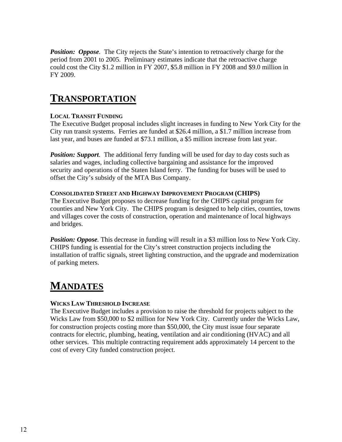*Position: Oppose.* The City rejects the State's intention to retroactively charge for the period from 2001 to 2005. Preliminary estimates indicate that the retroactive charge could cost the City \$1.2 million in FY 2007, \$5.8 million in FY 2008 and \$9.0 million in FY 2009.

## **TRANSPORTATION**

### **LOCAL TRANSIT FUNDING**

The Executive Budget proposal includes slight increases in funding to New York City for the City run transit systems. Ferries are funded at \$26.4 million, a \$1.7 million increase from last year, and buses are funded at \$73.1 million, a \$5 million increase from last year.

*Position: Support.* The additional ferry funding will be used for day to day costs such as salaries and wages, including collective bargaining and assistance for the improved security and operations of the Staten Island ferry. The funding for buses will be used to offset the City's subsidy of the MTA Bus Company.

### **CONSOLIDATED STREET AND HIGHWAY IMPROVEMENT PROGRAM (CHIPS)**

The Executive Budget proposes to decrease funding for the CHIPS capital program for counties and New York City. The CHIPS program is designed to help cities, counties, towns and villages cover the costs of construction, operation and maintenance of local highways and bridges.

*Position: Oppose.* This decrease in funding will result in a \$3 million loss to New York City. CHIPS funding is essential for the City's street construction projects including the installation of traffic signals, street lighting construction, and the upgrade and modernization of parking meters.

## **MANDATES**

### **WICKS LAW THRESHOLD INCREASE**

The Executive Budget includes a provision to raise the threshold for projects subject to the Wicks Law from \$50,000 to \$2 million for New York City. Currently under the Wicks Law, for construction projects costing more than \$50,000, the City must issue four separate contracts for electric, plumbing, heating, ventilation and air conditioning (HVAC) and all other services. This multiple contracting requirement adds approximately 14 percent to the cost of every City funded construction project.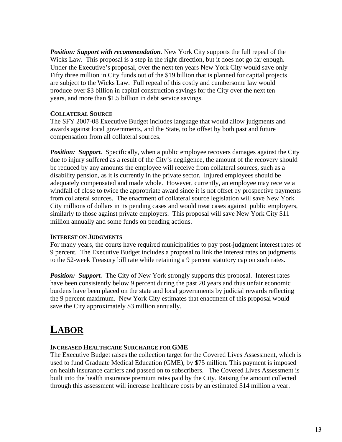*Position: Support with recommendation.* New York City supports the full repeal of the Wicks Law. This proposal is a step in the right direction, but it does not go far enough. Under the Executive's proposal, over the next ten years New York City would save only Fifty three million in City funds out of the \$19 billion that is planned for capital projects are subject to the Wicks Law. Full repeal of this costly and cumbersome law would produce over \$3 billion in capital construction savings for the City over the next ten years, and more than \$1.5 billion in debt service savings.

### **COLLATERAL SOURCE**

The SFY 2007-08 Executive Budget includes language that would allow judgments and awards against local governments, and the State, to be offset by both past and future compensation from all collateral sources.

**Position: Support.** Specifically, when a public employee recovers damages against the City due to injury suffered as a result of the City's negligence, the amount of the recovery should be reduced by any amounts the employee will receive from collateral sources, such as a disability pension, as it is currently in the private sector. Injured employees should be adequately compensated and made whole. However, currently, an employee may receive a windfall of close to twice the appropriate award since it is not offset by prospective payments from collateral sources. The enactment of collateral source legislation will save New York City millions of dollars in its pending cases and would treat cases against public employers, similarly to those against private employers. This proposal will save New York City \$11 million annually and some funds on pending actions.

### **INTEREST ON JUDGMENTS**

For many years, the courts have required municipalities to pay post-judgment interest rates of 9 percent. The Executive Budget includes a proposal to link the interest rates on judgments to the 52-week Treasury bill rate while retaining a 9 percent statutory cap on such rates.

*Position: Support.* The City of New York strongly supports this proposal. Interest rates have been consistently below 9 percent during the past 20 years and thus unfair economic burdens have been placed on the state and local governments by judicial rewards reflecting the 9 percent maximum. New York City estimates that enactment of this proposal would save the City approximately \$3 million annually.

## **LABOR**

### **INCREASED HEALTHCARE SURCHARGE FOR GME**

The Executive Budget raises the collection target for the Covered Lives Assessment, which is used to fund Graduate Medical Education (GME), by \$75 million. This payment is imposed on health insurance carriers and passed on to subscribers. The Covered Lives Assessment is built into the health insurance premium rates paid by the City. Raising the amount collected through this assessment will increase healthcare costs by an estimated \$14 million a year.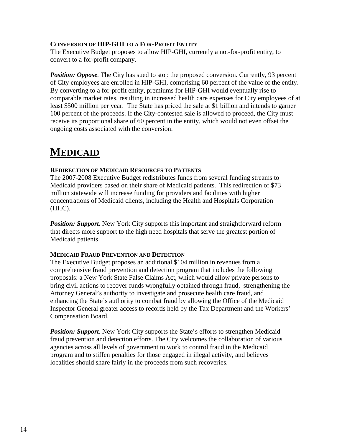### **CONVERSION OF HIP-GHI TO A FOR-PROFIT ENTITY**

The Executive Budget proposes to allow HIP-GHI, currently a not-for-profit entity, to convert to a for-profit company.

*Position: Oppose.* The City has sued to stop the proposed conversion. Currently, 93 percent of City employees are enrolled in HIP-GHI, comprising 60 percent of the value of the entity. By converting to a for-profit entity, premiums for HIP-GHI would eventually rise to comparable market rates, resulting in increased health care expenses for City employees of at least \$500 million per year. The State has priced the sale at \$1 billion and intends to garner 100 percent of the proceeds. If the City-contested sale is allowed to proceed, the City must receive its proportional share of 60 percent in the entity, which would not even offset the ongoing costs associated with the conversion.

## **MEDICAID**

### **REDIRECTION OF MEDICAID RESOURCES TO PATIENTS**

The 2007-2008 Executive Budget redistributes funds from several funding streams to Medicaid providers based on their share of Medicaid patients. This redirection of \$73 million statewide will increase funding for providers and facilities with higher concentrations of Medicaid clients, including the Health and Hospitals Corporation (HHC).

*Position: Support.* New York City supports this important and straightforward reform that directs more support to the high need hospitals that serve the greatest portion of Medicaid patients.

### **MEDICAID FRAUD PREVENTION AND DETECTION**

The Executive Budget proposes an additional \$104 million in revenues from a comprehensive fraud prevention and detection program that includes the following proposals: a New York State False Claims Act, which would allow private persons to bring civil actions to recover funds wrongfully obtained through fraud, strengthening the Attorney General's authority to investigate and prosecute health care fraud, and enhancing the State's authority to combat fraud by allowing the Office of the Medicaid Inspector General greater access to records held by the Tax Department and the Workers' Compensation Board.

*Position: Support.* New York City supports the State's efforts to strengthen Medicaid fraud prevention and detection efforts. The City welcomes the collaboration of various agencies across all levels of government to work to control fraud in the Medicaid program and to stiffen penalties for those engaged in illegal activity, and believes localities should share fairly in the proceeds from such recoveries.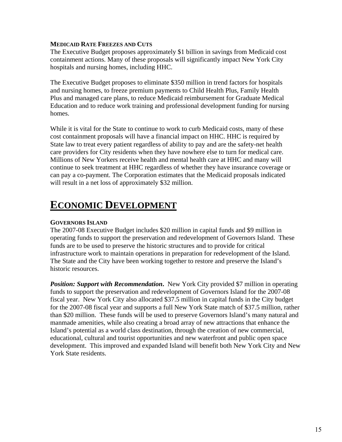### **MEDICAID RATE FREEZES AND CUTS**

The Executive Budget proposes approximately \$1 billion in savings from Medicaid cost containment actions. Many of these proposals will significantly impact New York City hospitals and nursing homes, including HHC.

The Executive Budget proposes to eliminate \$350 million in trend factors for hospitals and nursing homes, to freeze premium payments to Child Health Plus, Family Health Plus and managed care plans, to reduce Medicaid reimbursement for Graduate Medical Education and to reduce work training and professional development funding for nursing homes.

While it is vital for the State to continue to work to curb Medicaid costs, many of these cost containment proposals will have a financial impact on HHC. HHC is required by State law to treat every patient regardless of ability to pay and are the safety-net health care providers for City residents when they have nowhere else to turn for medical care. Millions of New Yorkers receive health and mental health care at HHC and many will continue to seek treatment at HHC regardless of whether they have insurance coverage or can pay a co-payment. The Corporation estimates that the Medicaid proposals indicated will result in a net loss of approximately \$32 million.

## **ECONOMIC DEVELOPMENT**

### **GOVERNORS ISLAND**

The 2007-08 Executive Budget includes \$20 million in capital funds and \$9 million in operating funds to support the preservation and redevelopment of Governors Island. These funds are to be used to preserve the historic structures and to provide for critical infrastructure work to maintain operations in preparation for redevelopment of the Island. The State and the City have been working together to restore and preserve the Island's historic resources.

*Position: Support with Recommendation.* New York City provided \$7 million in operating funds to support the preservation and redevelopment of Governors Island for the 2007-08 fiscal year. New York City also allocated \$37.5 million in capital funds in the City budget for the 2007-08 fiscal year and supports a full New York State match of \$37.5 million, rather than \$20 million. These funds will be used to preserve Governors Island's many natural and manmade amenities, while also creating a broad array of new attractions that enhance the Island's potential as a world class destination, through the creation of new commercial, educational, cultural and tourist opportunities and new waterfront and public open space development. This improved and expanded Island will benefit both New York City and New York State residents.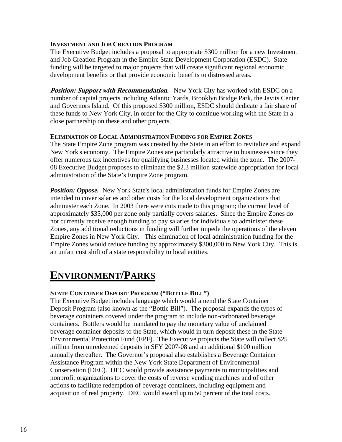### **INVESTMENT AND JOB CREATION PROGRAM**

The Executive Budget includes a proposal to appropriate \$300 million for a new Investment and Job Creation Program in the Empire State Development Corporation (ESDC). State funding will be targeted to major projects that will create significant regional economic development benefits or that provide economic benefits to distressed areas.

**Position: Support with Recommendation.** New York City has worked with ESDC on a number of capital projects including Atlantic Yards, Brooklyn Bridge Park, the Javits Center and Governors Island. Of this proposed \$300 million, ESDC should dedicate a fair share of these funds to New York City, in order for the City to continue working with the State in a close partnership on these and other projects.

### **ELIMINATION OF LOCAL ADMINISTRATION FUNDING FOR EMPIRE ZONES**

The State Empire Zone program was created by the State in an effort to revitalize and expand New York's economy. The Empire Zones are particularly attractive to businesses since they offer numerous tax incentives for qualifying businesses located within the zone. The 2007- 08 Executive Budget proposes to eliminate the \$2.3 million statewide appropriation for local administration of the State's Empire Zone program.

**Position: Oppose.** New York State's local administration funds for Empire Zones are intended to cover salaries and other costs for the local development organizations that administer each Zone. In 2003 there were cuts made to this program; the current level of approximately \$35,000 per zone only partially covers salaries. Since the Empire Zones do not currently receive enough funding to pay salaries for individuals to administer these Zones, any additional reductions in funding will further impede the operations of the eleven Empire Zones in New York City. This elimination of local administration funding for the Empire Zones would reduce funding by approximately \$300,000 to New York City. This is an unfair cost shift of a state responsibility to local entities.

### **ENVIRONMENT/PARKS**

### **STATE CONTAINER DEPOSIT PROGRAM ("BOTTLE BILL")**

The Executive Budget includes language which would amend the State Container Deposit Program (also known as the "Bottle Bill"). The proposal expands the types of beverage containers covered under the program to include non-carbonated beverage containers. Bottlers would be mandated to pay the monetary value of unclaimed beverage container deposits to the State, which would in turn deposit these in the State Environmental Protection Fund (EPF). The Executive projects the State will collect \$25 million from unredeemed deposits in SFY 2007-08 and an additional \$100 million annually thereafter. The Governor's proposal also establishes a Beverage Container Assistance Program within the New York State Department of Environmental Conservation (DEC). DEC would provide assistance payments to municipalities and nonprofit organizations to cover the costs of reverse vending machines and of other actions to facilitate redemption of beverage containers, including equipment and acquisition of real property. DEC would award up to 50 percent of the total costs.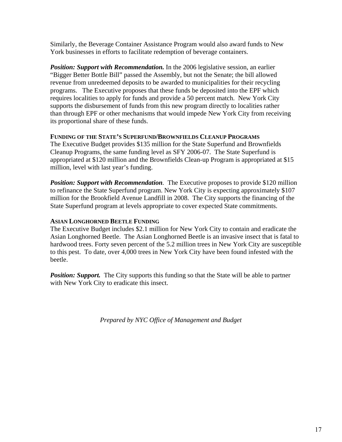Similarly, the Beverage Container Assistance Program would also award funds to New York businesses in efforts to facilitate redemption of beverage containers.

**Position: Support with Recommendation.** In the 2006 legislative session, an earlier "Bigger Better Bottle Bill" passed the Assembly, but not the Senate; the bill allowed revenue from unredeemed deposits to be awarded to municipalities for their recycling programs. The Executive proposes that these funds be deposited into the EPF which requires localities to apply for funds and provide a 50 percent match. New York City supports the disbursement of funds from this new program directly to localities rather than through EPF or other mechanisms that would impede New York City from receiving its proportional share of these funds.

### **FUNDING OF THE STATE'S SUPERFUND/BROWNFIELDS CLEANUP PROGRAMS**

The Executive Budget provides \$135 million for the State Superfund and Brownfields Cleanup Programs, the same funding level as SFY 2006-07. The State Superfund is appropriated at \$120 million and the Brownfields Clean-up Program is appropriated at \$15 million, level with last year's funding.

**Position: Support with Recommendation.** The Executive proposes to provide \$120 million to refinance the State Superfund program. New York City is expecting approximately \$107 million for the Brookfield Avenue Landfill in 2008. The City supports the financing of the State Superfund program at levels appropriate to cover expected State commitments.

### **ASIAN LONGHORNED BEETLE FUNDING**

The Executive Budget includes \$2.1 million for New York City to contain and eradicate the Asian Longhorned Beetle. The Asian Longhorned Beetle is an invasive insect that is fatal to hardwood trees. Forty seven percent of the 5.2 million trees in New York City are susceptible to this pest. To date, over 4,000 trees in New York City have been found infested with the beetle.

*Position: Support.* The City supports this funding so that the State will be able to partner with New York City to eradicate this insect.

*Prepared by NYC Office of Management and Budget*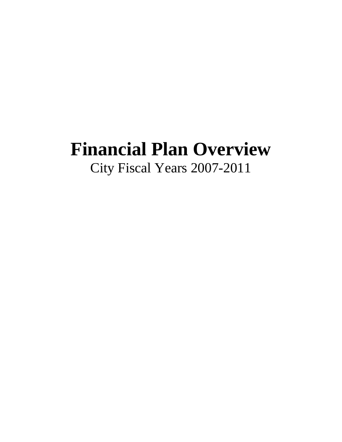## **Financial Plan Overview**  City Fiscal Years 2007-2011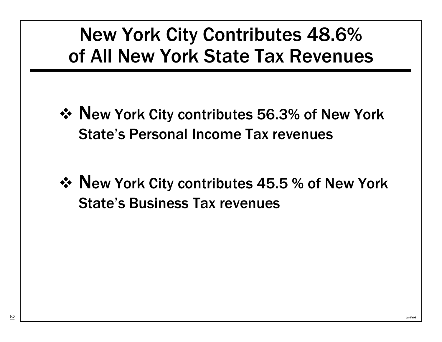# New York City Contributes 48.6% of All New York State Tax Revenues

- ◆ New York City contributes 56.3% of New York State's Personal Income Tax revenues
- ◆ New York City contributes 45.5 % of New York State's Business Tax revenues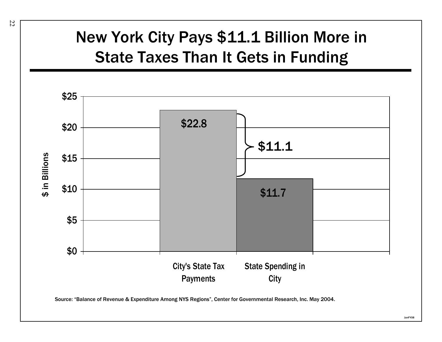# New York City Pays \$11.1 Billion More in State Taxes Than It Gets in Funding

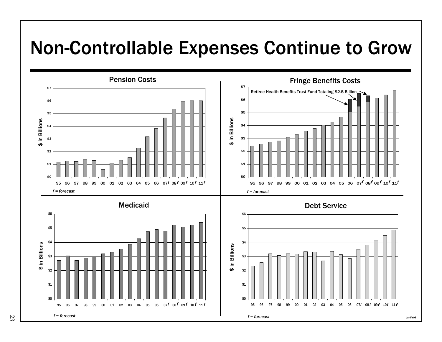# Non-Controllable Expenses Continue to Grow

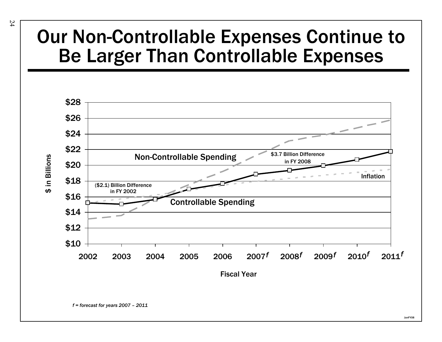# Our Non-Controllable Expenses Continue to Be Larger Than Controllable Expenses

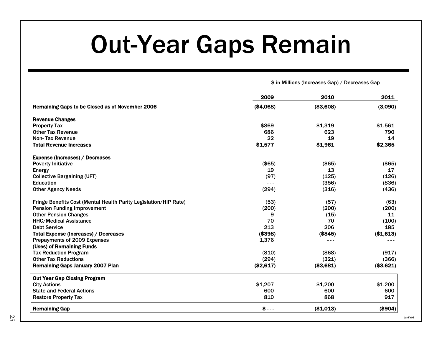# Out-Year Gaps Remain

\$ in Millions (Increases Gap) / Decreases Gap

JanFY08

|                                                                  | 2009      | 2010      | 2011      |
|------------------------------------------------------------------|-----------|-----------|-----------|
| Remaining Gaps to be Closed as of November 2006                  | (\$4,068) | (\$3,608) | (3,090)   |
| <b>Revenue Changes</b>                                           |           |           |           |
| <b>Property Tax</b>                                              | \$869     | \$1,319   | \$1,561   |
| <b>Other Tax Revenue</b>                                         | 686       | 623       | 790       |
| Non-Tax Revenue                                                  | 22        | 19        | 14        |
| <b>Total Revenue Increases</b>                                   | \$1,577   | \$1,961   | \$2,365   |
| <b>Expense (Increases) / Decreases</b>                           |           |           |           |
| <b>Poverty Initiative</b>                                        | (\$65)    | (\$65)    | (\$65)    |
| <b>Energy</b>                                                    | 19        | 13        | 17        |
| <b>Collective Bargaining (UFT)</b>                               | (97)      | (125)     | (126)     |
| <b>Education</b>                                                 | ---       | (356)     | (836)     |
| <b>Other Agency Needs</b>                                        | (294)     | (316)     | (436)     |
| Fringe Benefits Cost (Mental Health Parity Legislation/HIP Rate) | (53)      | (57)      | (63)      |
| <b>Pension Funding Improvement</b>                               | (200)     | (200)     | (200)     |
| <b>Other Pension Changes</b>                                     | 9         | (15)      | 11        |
| <b>HHC/Medical Assistance</b>                                    | 70        | 70        | (100)     |
| <b>Debt Service</b>                                              | 213       | 206       | 185       |
| Total Expense (Increases) / Decreases                            | (\$398)   | ( \$845)  | (\$1,613) |
| Prepayments of 2009 Expenses                                     | 1,376     | ---       |           |
| (Uses) of Remaining Funds                                        |           |           |           |
| <b>Tax Reduction Program</b>                                     | (810)     | (868)     | (917)     |
| <b>Other Tax Reductions</b>                                      | (294)     | (321)     | (366)     |
| <b>Remaining Gaps January 2007 Plan</b>                          | (\$2,617) | (\$3,681) | (\$3,621) |
| <b>Out Year Gap Closing Program</b>                              |           |           |           |
| <b>City Actions</b>                                              | \$1,207   | \$1,200   | \$1,200   |
| <b>State and Federal Actions</b>                                 | 600       | 600       | 600       |
| <b>Restore Property Tax</b>                                      | 810       | 868       | 917       |
| <b>Remaining Gap</b>                                             | $$ --$    | (\$1,013) | (\$904)   |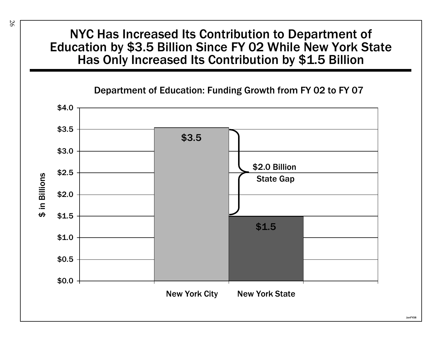## NYC Has Increased Its Contribution to Department of Education by \$3.5 Billion Since FY 02 While New York State Has Only Increased Its Contribution by \$1.5 Billion

### Department of Education: Funding Growth from FY 02 to FY 07

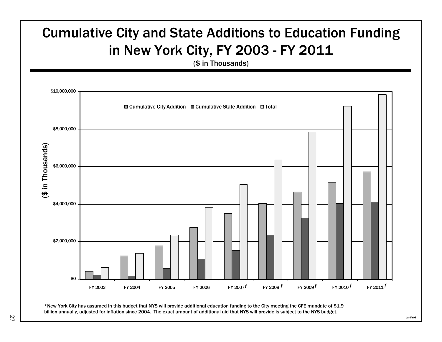

billion annually, adjusted for inflation since 2004. The exact amount of additional aid that NYS will provide is subject to the NYS budget.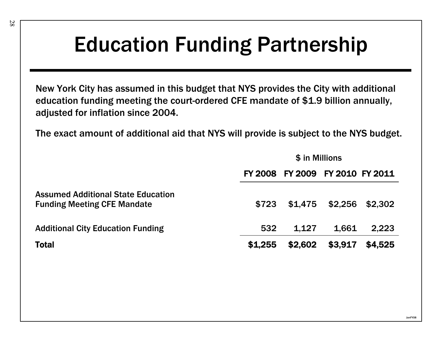# Education Funding Partnership

New York City has assumed in this budget that NYS provides the City with additional education funding meeting the court-ordered CFE mandate of \$1.9 billion annually, adjusted for inflation since 2004.

The exact amount of additional aid that NYS will provide is subject to the NYS budget.

|                                                                                 | \$ in Millions |                                 |         |         |  |
|---------------------------------------------------------------------------------|----------------|---------------------------------|---------|---------|--|
|                                                                                 |                | FY 2008 FY 2009 FY 2010 FY 2011 |         |         |  |
| <b>Assumed Additional State Education</b><br><b>Funding Meeting CFE Mandate</b> | \$723          | \$1,475                         | \$2,256 | \$2,302 |  |
| <b>Additional City Education Funding</b>                                        | 532            | 1.127                           | 1,661   | 2.223   |  |
| <b>Total</b>                                                                    | \$1,255        | \$2,602                         | \$3,917 | \$4,525 |  |

JanFY08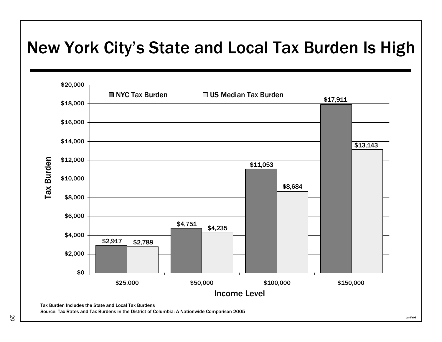# New York City's State and Local Tax Burden Is High

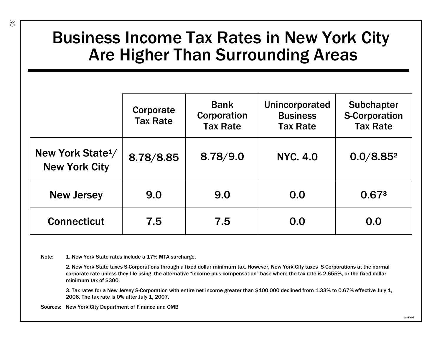## Business Income Tax Rates in New York City Are Higher Than Surrounding Areas

|                                                       | Corporate<br><b>Tax Rate</b> | <b>Bank</b><br>Corporation<br><b>Tax Rate</b> | Unincorporated<br><b>Business</b><br><b>Tax Rate</b> | <b>Subchapter</b><br><b>S-Corporation</b><br><b>Tax Rate</b> |
|-------------------------------------------------------|------------------------------|-----------------------------------------------|------------------------------------------------------|--------------------------------------------------------------|
| New York State <sup>1</sup> /<br><b>New York City</b> | 8.78/8.85                    | 8.78/9.0                                      | <b>NYC. 4.0</b>                                      | 0.0/8.85 <sup>2</sup>                                        |
| <b>New Jersey</b>                                     | 9.0                          | 9.0                                           | 0.0                                                  | 0.673                                                        |
| <b>Connecticut</b>                                    | 7.5                          | 7.5                                           | 0.0                                                  | 0.0                                                          |

Note: 1. New York State rates include a 17% MTA surcharge.

2. New York State taxes S-Corporations through a fixed dollar minimum tax. However, New York City taxes S-Corporations at the normal corporate rate unless they file using the alternative "income-plus-compensation" base where the tax rate is 2.655%, or the fixed dollar minimum tax of \$300.

3. Tax rates for a New Jersey S-Corporation with entire net income greater than \$100,000 declined from 1.33% to 0.67% effective July 1, 2006. The tax rate is 0% after July 1, 2007.

Sources: New York City Department of Finance and OMB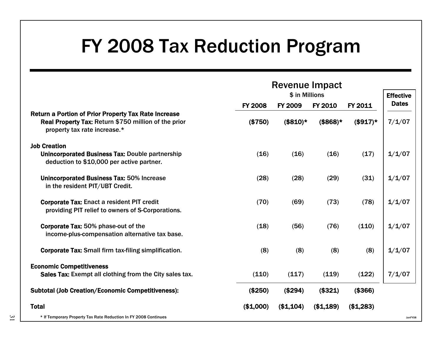# FY 2008 Tax Reduction Program

|                                                                                                                                                     | <b>Revenue Impact</b><br>\$ in Millions |                |                     | <b>Effective</b> |              |
|-----------------------------------------------------------------------------------------------------------------------------------------------------|-----------------------------------------|----------------|---------------------|------------------|--------------|
|                                                                                                                                                     | <b>FY 2008</b>                          | <b>FY 2009</b> | <b>FY 2010</b>      | FY 2011          | <b>Dates</b> |
| <b>Return a Portion of Prior Property Tax Rate Increase</b><br>Real Property Tax: Return \$750 million of the prior<br>property tax rate increase.* | (\$750)                                 | $($810)*$      | $$868$ <sup>*</sup> | $($917)*$        | 7/1/07       |
| <b>Job Creation</b><br>Unincorporated Business Tax: Double partnership<br>deduction to \$10,000 per active partner.                                 | (16)                                    | (16)           | (16)                | (17)             | 1/1/07       |
| <b>Unincorporated Business Tax: 50% Increase</b><br>in the resident PIT/UBT Credit.                                                                 | (28)                                    | (28)           | (29)                | (31)             | 1/1/07       |
| <b>Corporate Tax: Enact a resident PIT credit</b><br>providing PIT relief to owners of S-Corporations.                                              | (70)                                    | (69)           | (73)                | (78)             | 1/1/07       |
| <b>Corporate Tax: 50% phase-out of the</b><br>income-plus-compensation alternative tax base.                                                        | (18)                                    | (56)           | (76)                | (110)            | 1/1/07       |
| <b>Corporate Tax: Small firm tax-filing simplification.</b>                                                                                         | (8)                                     | (8)            | (8)                 | (8)              | 1/1/07       |
| <b>Economic Competitiveness</b><br>Sales Tax: Exempt all clothing from the City sales tax.                                                          | (110)                                   | (117)          | (119)               | (122)            | 7/1/07       |
| <b>Subtotal (Job Creation/Economic Competitiveness):</b>                                                                                            | (\$250)                                 | (\$294)        | (\$321)             | (\$366)          |              |
| <b>Total</b>                                                                                                                                        | (\$1,000)                               | (\$1,104)      | (\$1,189)           | (\$1,283)        |              |
| * If Temporary Property Tax Rate Reduction In FY 2008 Continues                                                                                     |                                         |                |                     |                  | JanFY08      |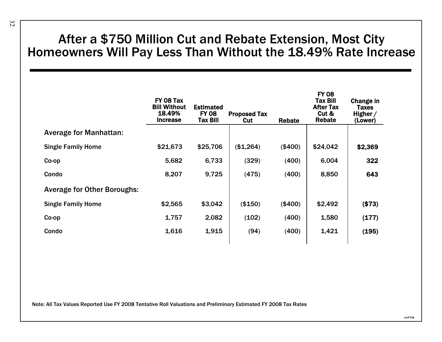## After a \$750 Million Cut and Rebate Extension, Most City Homeowners Will Pay Less Than Without the 18.49% Rate Increase

|                                    | FY 08 Tax<br><b>Bill Without</b><br>18.49%<br><b>Increase</b> | <b>Estimated</b><br><b>FY 08</b><br><b>Tax Bill</b> | <b>Proposed Tax</b><br>Cut | <b>Rebate</b> | <b>FY 08</b><br><b>Tax Bill</b><br><b>After Tax</b><br>Cut &<br><b>Rebate</b> | Change in<br><b>Taxes</b><br>Higher $/$<br>(Lower) |
|------------------------------------|---------------------------------------------------------------|-----------------------------------------------------|----------------------------|---------------|-------------------------------------------------------------------------------|----------------------------------------------------|
| <b>Average for Manhattan:</b>      |                                                               |                                                     |                            |               |                                                                               |                                                    |
| <b>Single Family Home</b>          | \$21,673                                                      | \$25,706                                            | (\$1,264)                  | (\$400)       | \$24,042                                                                      | \$2,369                                            |
| Co-op                              | 5,682                                                         | 6,733                                               | (329)                      | (400)         | 6,004                                                                         | 322                                                |
| Condo                              | 8,207                                                         | 9,725                                               | (475)                      | (400)         | 8,850                                                                         | 643                                                |
| <b>Average for Other Boroughs:</b> |                                                               |                                                     |                            |               |                                                                               |                                                    |
| <b>Single Family Home</b>          | \$2,565                                                       | \$3,042                                             | (\$150)                    | (\$400)       | \$2,492                                                                       | (\$73)                                             |
| Co-op                              | 1,757                                                         | 2,082                                               | (102)                      | (400)         | 1,580                                                                         | (177)                                              |
| Condo                              | 1,616                                                         | 1,915                                               | (94)                       | (400)         | 1,421                                                                         | (195)                                              |
|                                    |                                                               |                                                     |                            |               |                                                                               |                                                    |

Note: All Tax Values Reported Use FY 2008 Tentative Roll Valuations and Preliminary Estimated FY 2008 Tax Rates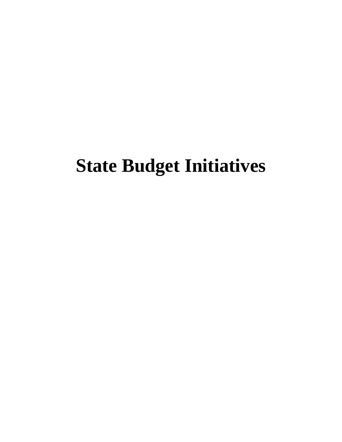# **State Budget Initiatives**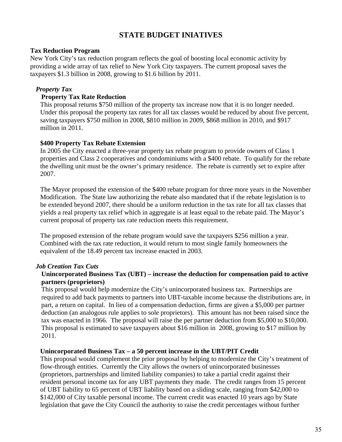### **STATE BUDGET INIATIVES**

### **Tax Reduction Program**

New York City's tax reduction program reflects the goal of boosting local economic activity by providing a wide array of tax relief to New York City taxpayers. The current proposal saves the taxpayers \$1.3 billion in 2008, growing to \$1.6 billion by 2011.

### *Property Tax*

### **Property Tax Rate Reduction**

This proposal returns \$750 million of the property tax increase now that it is no longer needed. Under this proposal the property tax rates for all tax classes would be reduced by about five percent, saving taxpayers \$750 million in 2008, \$810 million in 2009, \$868 million in 2010, and \$917 million in 2011.

### **\$400 Property Tax Rebate Extension**

In 2005 the City enacted a three-year property tax rebate program to provide owners of Class 1 properties and Class 2 cooperatives and condominiums with a \$400 rebate. To qualify for the rebate the dwelling unit must be the owner's primary residence. The rebate is currently set to expire after 2007.

The Mayor proposed the extension of the \$400 rebate program for three more years in the November Modification. The State law authorizing the rebate also mandated that if the rebate legislation is to be extended beyond 2007, there should be a uniform reduction in the tax rate for all tax classes that yields a real property tax relief which in aggregate is at least equal to the rebate paid. The Mayor's current proposal of property tax rate reduction meets this requirement.

The proposed extension of the rebate program would save the taxpayers \$256 million a year. Combined with the tax rate reduction, it would return to most single family homeowners the equivalent of the 18.49 percent tax increase enacted in 2003.

### *Job Creation Tax Cuts*

### **Unincorporated Business Tax (UBT) – increase the deduction for compensation paid to active partners (proprietors)**

This proposal would help modernize the City's unincorporated business tax. Partnerships are required to add back payments to partners into UBT-taxable income because the distributions are, in part, a return on capital. In lieu of a compensation deduction, firms are given a \$5,000 per partner deduction (an analogous rule applies to sole proprietors). This amount has not been raised since the tax was enacted in 1966. The proposal will raise the per partner deduction from \$5,000 to \$10,000. This proposal is estimated to save taxpayers about \$16 million in 2008, growing to \$17 million by 2011.

### **Unincorporated Business Tax – a 50 percent increase in the UBT/PIT Credit**

This proposal would complement the prior proposal by helping to modernize the City's treatment of flow-through entities. Currently the City allows the owners of unincorporated businesses (proprietors, partnerships and limited liability companies) to take a partial credit against their resident personal income tax for any UBT payments they made. The credit ranges from 15 percent of UBT liability to 65 percent of UBT liability based on a sliding scale, ranging from \$42,000 to \$142,000 of City taxable personal income. The current credit was enacted 10 years ago by State legislation that gave the City Council the authority to raise the credit percentages without further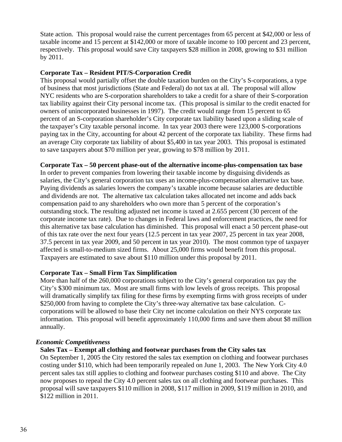State action. This proposal would raise the current percentages from 65 percent at \$42,000 or less of taxable income and 15 percent at \$142,000 or more of taxable income to 100 percent and 23 percent, respectively. This proposal would save City taxpayers \$28 million in 2008, growing to \$31 million by 2011.

### **Corporate Tax – Resident PIT/S-Corporation Credit**

This proposal would partially offset the double taxation burden on the City's S-corporations, a type of business that most jurisdictions (State and Federal) do not tax at all. The proposal will allow NYC residents who are S-corporation shareholders to take a credit for a share of their S-corporation tax liability against their City personal income tax. (This proposal is similar to the credit enacted for owners of unincorporated businesses in 1997). The credit would range from 15 percent to 65 percent of an S-corporation shareholder's City corporate tax liability based upon a sliding scale of the taxpayer's City taxable personal income. In tax year 2003 there were 123,000 S-corporations paying tax in the City, accounting for about 42 percent of the corporate tax liability. These firms had an average City corporate tax liability of about \$5,400 in tax year 2003. This proposal is estimated to save taxpayers about \$70 million per year, growing to \$78 million by 2011.

### **Corporate Tax – 50 percent phase-out of the alternative income-plus-compensation tax base**

In order to prevent companies from lowering their taxable income by disguising dividends as salaries, the City's general corporation tax uses an income-plus-compensation alternative tax base. Paying dividends as salaries lowers the company's taxable income because salaries are deductible and dividends are not. The alternative tax calculation takes allocated net income and adds back compensation paid to any shareholders who own more than 5 percent of the corporation's outstanding stock. The resulting adjusted net income is taxed at 2.655 percent (30 percent of the corporate income tax rate). Due to changes in Federal laws and enforcement practices, the need for this alternative tax base calculation has diminished. This proposal will enact a 50 percent phase-out of this tax rate over the next four years (12.5 percent in tax year 2007, 25 percent in tax year 2008, 37.5 percent in tax year 2009, and 50 percent in tax year 2010). The most common type of taxpayer affected is small-to-medium sized firms. About 25,000 firms would benefit from this proposal. Taxpayers are estimated to save about \$110 million under this proposal by 2011.

### **Corporate Tax – Small Firm Tax Simplification**

More than half of the 260,000 corporations subject to the City's general corporation tax pay the City's \$300 minimum tax. Most are small firms with low levels of gross receipts. This proposal will dramatically simplify tax filing for these firms by exempting firms with gross receipts of under \$250,000 from having to complete the City's three-way alternative tax base calculation. Ccorporations will be allowed to base their City net income calculation on their NYS corporate tax information. This proposal will benefit approximately 110,000 firms and save them about \$8 million annually.

### *Economic Competitiveness*

**Sales Tax – Exempt all clothing and footwear purchases from the City sales tax** 

On September 1, 2005 the City restored the sales tax exemption on clothing and footwear purchases costing under \$110, which had been temporarily repealed on June 1, 2003. The New York City 4.0 percent sales tax still applies to clothing and footwear purchases costing \$110 and above. The City now proposes to repeal the City 4.0 percent sales tax on all clothing and footwear purchases. This proposal will save taxpayers \$110 million in 2008, \$117 million in 2009, \$119 million in 2010, and \$122 million in 2011.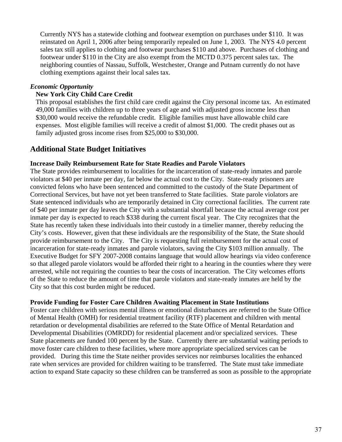Currently NYS has a statewide clothing and footwear exemption on purchases under \$110. It was reinstated on April 1, 2006 after being temporarily repealed on June 1, 2003. The NYS 4.0 percent sales tax still applies to clothing and footwear purchases \$110 and above. Purchases of clothing and footwear under \$110 in the City are also exempt from the MCTD 0.375 percent sales tax. The neighboring counties of Nassau, Suffolk, Westchester, Orange and Putnam currently do not have clothing exemptions against their local sales tax.

### *Economic Opportunity*

### **New York City Child Care Credit**

This proposal establishes the first child care credit against the City personal income tax. An estimated 49,000 families with children up to three years of age and with adjusted gross income less than \$30,000 would receive the refundable credit. Eligible families must have allowable child care expenses. Most eligible families will receive a credit of almost \$1,000. The credit phases out as family adjusted gross income rises from \$25,000 to \$30,000.

### **Additional State Budget Initiatives**

### **Increase Daily Reimbursement Rate for State Readies and Parole Violators**

The State provides reimbursement to localities for the incarceration of state-ready inmates and parole violators at \$40 per inmate per day, far below the actual cost to the City. State-ready prisoners are convicted felons who have been sentenced and committed to the custody of the State Department of Correctional Services, but have not yet been transferred to State facilities. State parole violators are State sentenced individuals who are temporarily detained in City correctional facilities. The current rate of \$40 per inmate per day leaves the City with a substantial shortfall because the actual average cost per inmate per day is expected to reach \$338 during the current fiscal year. The City recognizes that the State has recently taken these individuals into their custody in a timelier manner, thereby reducing the City's costs. However, given that these individuals are the responsibility of the State, the State should provide reimbursement to the City. The City is requesting full reimbursement for the actual cost of incarceration for state-ready inmates and parole violators, saving the City \$103 million annually. The Executive Budget for SFY 2007-2008 contains language that would allow hearings via video conference so that alleged parole violators would be afforded their right to a hearing in the counties where they were arrested, while not requiring the counties to bear the costs of incarceration. The City welcomes efforts of the State to reduce the amount of time that parole violators and state-ready inmates are held by the City so that this cost burden might be reduced.

### **Provide Funding for Foster Care Children Awaiting Placement in State Institutions**

Foster care children with serious mental illness or emotional disturbances are referred to the State Office of Mental Health (OMH) for residential treatment facility (RTF) placement and children with mental retardation or developmental disabilities are referred to the State Office of Mental Retardation and Developmental Disabilities (OMRDD) for residential placement and/or specialized services. These State placements are funded 100 percent by the State. Currently there are substantial waiting periods to move foster care children to these facilities, where more appropriate specialized services can be provided. During this time the State neither provides services nor reimburses localities the enhanced rate when services are provided for children waiting to be transferred. The State must take immediate action to expand State capacity so these children can be transferred as soon as possible to the appropriate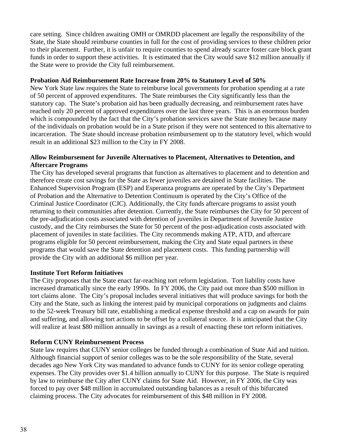care setting. Since children awaiting OMH or OMRDD placement are legally the responsibility of the State, the State should reimburse counties in full for the cost of providing services to these children prior to their placement. Further, it is unfair to require counties to spend already scarce foster care block grant funds in order to support these activities. It is estimated that the City would save \$12 million annually if the State were to provide the City full reimbursement.

### **Probation Aid Reimbursement Rate Increase from 20% to Statutory Level of 50%**

New York State law requires the State to reimburse local governments for probation spending at a rate of 50 percent of approved expenditures. The State reimburses the City significantly less than the statutory cap. The State's probation aid has been gradually decreasing, and reimbursement rates have reached only 20 percent of approved expenditures over the last three years. This is an enormous burden which is compounded by the fact that the City's probation services save the State money because many of the individuals on probation would be in a State prison if they were not sentenced to this alternative to incarceration. The State should increase probation reimbursement up to the statutory level, which would result in an additional \$23 million to the City in FY 2008.

### **Allow Reimbursement for Juvenile Alternatives to Placement, Alternatives to Detention, and Aftercare Programs**

The City has developed several programs that function as alternatives to placement and to detention and therefore create cost savings for the State as fewer juveniles are detained in State facilities. The Enhanced Supervision Program (ESP) and Esperanza programs are operated by the City's Department of Probation and the Alternative to Detention Continuum is operated by the City's Office of the Criminal Justice Coordinator (CJC). Additionally, the City funds aftercare programs to assist youth returning to their communities after detention. Currently, the State reimburses the City for 50 percent of the pre-adjudication costs associated with detention of juveniles in Department of Juvenile Justice custody, and the City reimburses the State for 50 percent of the post-adjudication costs associated with placement of juveniles in state facilities. The City recommends making ATP, ATD, and aftercare programs eligible for 50 percent reimbursement, making the City and State equal partners in these programs that would save the State detention and placement costs. This funding partnership will provide the City with an additional \$6 million per year.

### **Institute Tort Reform Initiatives**

The City proposes that the State enact far-reaching tort reform legislation. Tort liability costs have increased dramatically since the early 1990s. In FY 2006, the City paid out more than \$500 million in tort claims alone. The City's proposal includes several initiatives that will produce savings for both the City and the State, such as linking the interest paid by municipal corporations on judgments and claims to the 52-week Treasury bill rate, establishing a medical expense threshold and a cap on awards for pain and suffering, and allowing tort actions to be offset by a collateral source. It is anticipated that the City will realize at least \$80 million annually in savings as a result of enacting these tort reform initiatives.

### **Reform CUNY Reimbursement Process**

State law requires that CUNY senior colleges be funded through a combination of State Aid and tuition. Although financial support of senior colleges was to be the sole responsibility of the State, several decades ago New York City was mandated to advance funds to CUNY for its senior college operating expenses. The City provides over \$1.4 billion annually to CUNY for this purpose. The State is required by law to reimburse the City after CUNY claims for State Aid. However, in FY 2006, the City was forced to pay over \$48 million in accumulated outstanding balances as a result of this bifurcated claiming process. The City advocates for reimbursement of this \$48 million in FY 2008.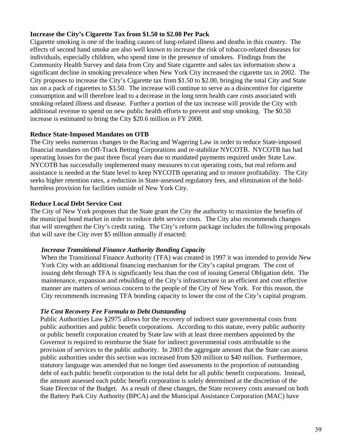### **Increase the City's Cigarette Tax from \$1.50 to \$2.00 Per Pack**

Cigarette smoking is one of the leading causes of lung-related illness and deaths in this country. The effects of second hand smoke are also well known to increase the risk of tobacco-related diseases for individuals, especially children, who spend time in the presence of smokers. Findings from the Community Health Survey and data from City and State cigarette and sales tax information show a significant decline in smoking prevalence when New York City increased the cigarette tax in 2002. The City proposes to increase the City's Cigarette tax from \$1.50 to \$2.00, bringing the total City and State tax on a pack of cigarettes to \$3.50. The increase will continue to serve as a disincentive for cigarette consumption and will therefore lead to a decrease in the long term health care costs associated with smoking-related illness and disease. Further a portion of the tax increase will provide the City with additional revenue to spend on new public health efforts to prevent and stop smoking. The \$0.50 increase is estimated to bring the City \$20.6 million in FY 2008.

### **Reduce State-Imposed Mandates on OTB**

The City seeks numerous changes to the Racing and Wagering Law in order to reduce State-imposed financial mandates on Off-Track Betting Corporations and re-stabilize NYCOTB. NYCOTB has had operating losses for the past three fiscal years due to mandated payments required under State Law. NYCOTB has successfully implemented many measures to cut operating costs, but real reform and assistance is needed at the State level to keep NYCOTB operating and to restore profitability. The City seeks higher retention rates, a reduction in State-assessed regulatory fees, and elimination of the holdharmless provision for facilities outside of New York City.

### **Reduce Local Debt Service Cost**

The City of New York proposes that the State grant the City the authority to maximize the benefits of the municipal bond market in order to reduce debt service costs. The City also recommends changes that will strengthen the City's credit rating. The City's reform package includes the following proposals that will save the City over \$5 million annually if enacted:

### *Increase Transitional Finance Authority Bonding Capacity*

When the Transitional Finance Authority (TFA) was created in 1997 it was intended to provide New York City with an additional financing mechanism for the City's capital program. The cost of issuing debt through TFA is significantly less than the cost of issuing General Obligation debt. The maintenance, expansion and rebuilding of the City's infrastructure in an efficient and cost effective manner are matters of serious concern to the people of the City of New York. For this reason, the City recommends increasing TFA bonding capacity to lower the cost of the City's capital program.

### *Tie Cost Recovery Fee Formula to Debt Outstanding*

Public Authorities Law §2975 allows for the recovery of indirect state governmental costs from public authorities and public benefit corporations. According to this statute, every public authority or public benefit corporation created by State law with at least three members appointed by the Governor is required to reimburse the State for indirect governmental costs attributable to the provision of services to the public authority. In 2003 the aggregate amount that the State can assess public authorities under this section was increased from \$20 million to \$40 million. Furthermore, statutory language was amended that no longer tied assessments to the proportion of outstanding debt of each public benefit corporation to the total debt for all public benefit corporations. Instead, the amount assessed each public benefit corporation is solely determined at the discretion of the State Director of the Budget. As a result of these changes, the State recovery costs assessed on both the Battery Park City Authority (BPCA) and the Municipal Assistance Corporation (MAC) have